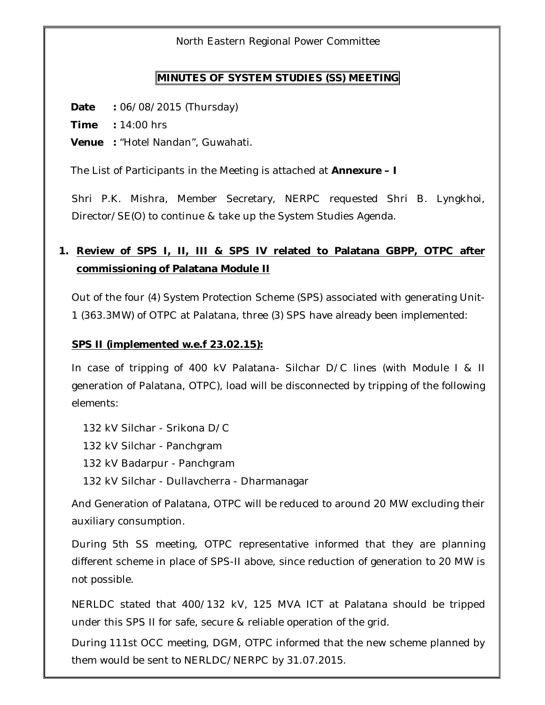North Eastern Regional Power Committee

### **MINUTES OF SYSTEM STUDIES (SS) MEETING**

**Date :** 06/08/2015 (Thursday)

**Time :** 14:00 hrs

**Venue :** "Hotel Nandan", Guwahati.

The List of Participants in the Meeting is attached at **Annexure – I**

Shri P.K. Mishra, Member Secretary, NERPC requested Shri B. Lyngkhoi, Director/SE(O) to continue & take up the System Studies Agenda.

### **1. Review of SPS I, II, III & SPS IV related to Palatana GBPP, OTPC after commissioning of Palatana Module II**

Out of the four (4) System Protection Scheme (SPS) associated with generating Unit-1 (363.3MW) of OTPC at Palatana, three (3) SPS have already been implemented:

#### **SPS II (implemented w.e.f 23.02.15):**

In case of tripping of 400 kV Palatana- Silchar D/C lines (with Module I & II generation of Palatana, OTPC), load will be disconnected by tripping of the following elements:

132 kV Silchar - Srikona D/C

132 kV Silchar - Panchgram

132 kV Badarpur - Panchgram

132 kV Silchar - Dullavcherra - Dharmanagar

And Generation of Palatana, OTPC will be reduced to around 20 MW excluding their auxiliary consumption.

During 5th SS meeting, OTPC representative informed that they are planning different scheme in place of SPS-II above, since reduction of generation to 20 MW is not possible.

NERLDC stated that 400/132 kV, 125 MVA ICT at Palatana should be tripped under this SPS II for safe, secure & reliable operation of the grid.

During 111st OCC meeting, DGM, OTPC informed that the new scheme planned by them would be sent to NERLDC/NERPC by 31.07.2015.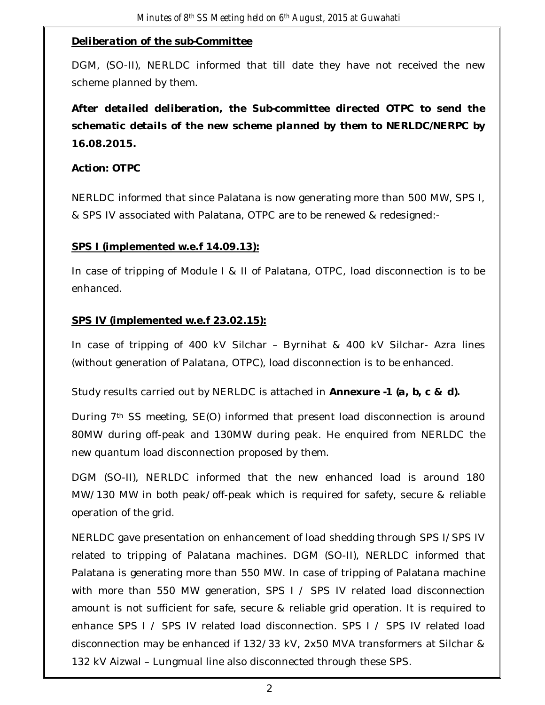### *Deliberation of the sub-Committee*

DGM, (SO-II), NERLDC informed that till date they have not received the new scheme planned by them.

## *After detailed deliberation, the Sub-committee directed OTPC to send the schematic details of the new scheme planned by them to NERLDC/NERPC by 16.08.2015.*

#### *Action: OTPC*

NERLDC informed that since Palatana is now generating more than 500 MW, SPS I, & SPS IV associated with Palatana, OTPC are to be renewed & redesigned:-

### **SPS I (implemented w.e.f 14.09.13):**

In case of tripping of Module I & II of Palatana, OTPC, load disconnection is to be enhanced.

### **SPS IV (implemented w.e.f 23.02.15):**

In case of tripping of 400 kV Silchar – Byrnihat & 400 kV Silchar- Azra lines (without generation of Palatana, OTPC), load disconnection is to be enhanced.

Study results carried out by NERLDC is attached in *Annexure -1 (a, b, c & d).*

During 7th SS meeting, SE(O) informed that present load disconnection is around 80MW during off-peak and 130MW during peak. He enquired from NERLDC the new quantum load disconnection proposed by them.

DGM (SO-II), NERLDC informed that the new enhanced load is around 180 MW/130 MW in both peak/off-peak which is required for safety, secure & reliable operation of the grid.

NERLDC gave presentation on enhancement of load shedding through SPS I/SPS IV related to tripping of Palatana machines. DGM (SO-II), NERLDC informed that Palatana is generating more than 550 MW. In case of tripping of Palatana machine with more than 550 MW generation, SPS I / SPS IV related load disconnection amount is not sufficient for safe, secure & reliable grid operation. It is required to enhance SPS I / SPS IV related load disconnection. SPS I / SPS IV related load disconnection may be enhanced if 132/33 kV, 2x50 MVA transformers at Silchar & 132 kV Aizwal – Lungmual line also disconnected through these SPS.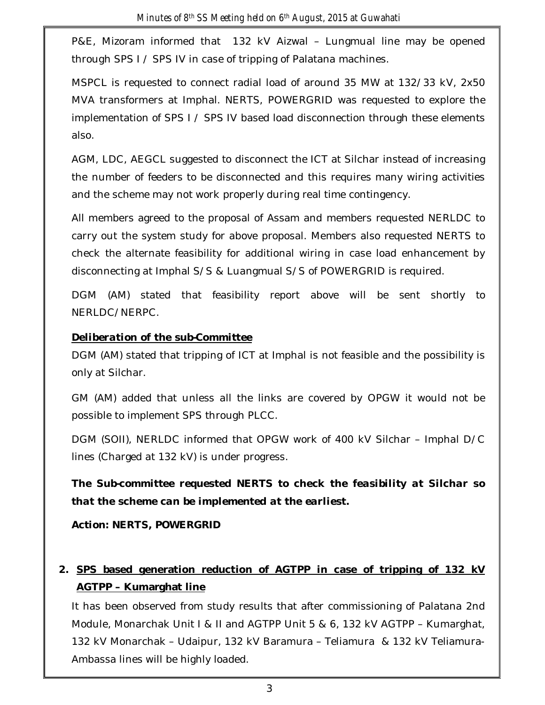P&E, Mizoram informed that 132 kV Aizwal – Lungmual line may be opened through SPS I / SPS IV in case of tripping of Palatana machines.

MSPCL is requested to connect radial load of around 35 MW at 132/33 kV, 2x50 MVA transformers at Imphal. NERTS, POWERGRID was requested to explore the implementation of SPS I / SPS IV based load disconnection through these elements also.

AGM, LDC, AEGCL suggested to disconnect the ICT at Silchar instead of increasing the number of feeders to be disconnected and this requires many wiring activities and the scheme may not work properly during real time contingency.

All members agreed to the proposal of Assam and members requested NERLDC to carry out the system study for above proposal. Members also requested NERTS to check the alternate feasibility for additional wiring in case load enhancement by disconnecting at Imphal S/S & Luangmual S/S of POWERGRID is required.

DGM (AM) stated that feasibility report above will be sent shortly to NERLDC/NERPC.

### *Deliberation of the sub-Committee*

DGM (AM) stated that tripping of ICT at Imphal is not feasible and the possibility is only at Silchar.

GM (AM) added that unless all the links are covered by OPGW it would not be possible to implement SPS through PLCC.

DGM (SOII), NERLDC informed that OPGW work of 400 kV Silchar – Imphal D/C lines (Charged at 132 kV) is under progress.

*The Sub-committee requested NERTS to check the feasibility at Silchar so that the scheme can be implemented at the earliest.*

*Action: NERTS, POWERGRID*

### **2. SPS based generation reduction of AGTPP in case of tripping of 132 kV AGTPP – Kumarghat line**

It has been observed from study results that after commissioning of Palatana 2nd Module, Monarchak Unit I & II and AGTPP Unit 5 & 6, 132 kV AGTPP – Kumarghat, 132 kV Monarchak – Udaipur, 132 kV Baramura – Teliamura & 132 kV Teliamura-Ambassa lines will be highly loaded.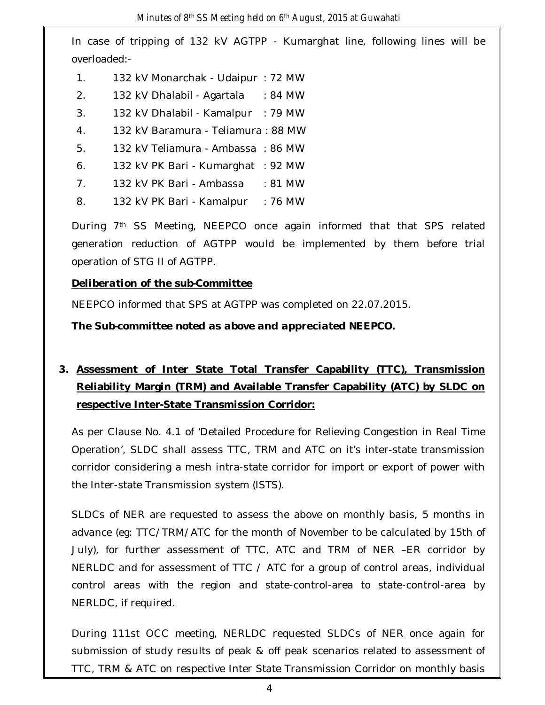In case of tripping of 132 kV AGTPP - Kumarghat line, following lines will be overloaded:-

- 1. 132 kV Monarchak Udaipur : 72 MW
- 2. 132 kV Dhalabil Agartala : 84 MW
- 3. 132 kV Dhalabil Kamalpur : 79 MW
- 4. 132 kV Baramura Teliamura : 88 MW
- 5. 132 kV Teliamura Ambassa : 86 MW
- 6. 132 kV PK Bari Kumarghat : 92 MW
- 7. 132 kV PK Bari Ambassa : 81 MW
- 8. 132 kV PK Bari Kamalpur : 76 MW

During 7th SS Meeting, NEEPCO once again informed that that SPS related generation reduction of AGTPP would be implemented by them before trial operation of STG II of AGTPP.

### *Deliberation of the sub-Committee*

NEEPCO informed that SPS at AGTPP was completed on 22.07.2015.

*The Sub-committee noted as above and appreciated NEEPCO.*

# **3. Assessment of Inter State Total Transfer Capability (TTC), Transmission Reliability Margin (TRM) and Available Transfer Capability (ATC) by SLDC on respective Inter-State Transmission Corridor:**

As per Clause No. 4.1 of 'Detailed Procedure for Relieving Congestion in Real Time Operation', SLDC shall assess TTC, TRM and ATC on it's inter-state transmission corridor considering a mesh intra-state corridor for import or export of power with the Inter-state Transmission system (ISTS).

SLDCs of NER are requested to assess the above on monthly basis, 5 months in advance (eg: TTC/TRM/ATC for the month of November to be calculated by 15th of July), for further assessment of TTC, ATC and TRM of NER –ER corridor by NERLDC and for assessment of TTC / ATC for a group of control areas, individual control areas with the region and state-control-area to state-control-area by NERLDC, if required.

During 111st OCC meeting, NERLDC requested SLDCs of NER once again for submission of study results of peak & off peak scenarios related to assessment of TTC, TRM & ATC on respective Inter State Transmission Corridor on monthly basis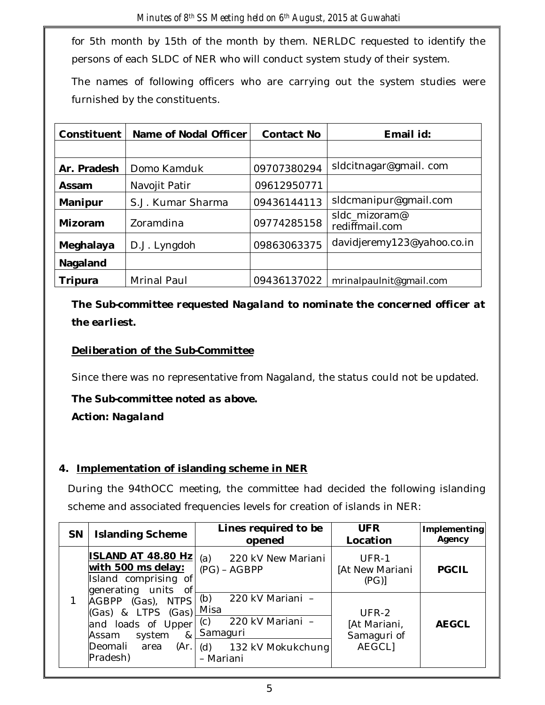for 5th month by 15th of the month by them. NERLDC requested to identify the persons of each SLDC of NER who will conduct system study of their system.

The names of following officers who are carrying out the system studies were furnished by the constituents.

| Constituent          | Name of Nodal Officer        | <b>Contact No</b> | Email id:                       |
|----------------------|------------------------------|-------------------|---------------------------------|
|                      |                              |                   |                                 |
| Ar. Pradesh          | Domo Kamduk                  | 09707380294       | sldcitnagar@gmail.com           |
| Assam                | 09612950771<br>Navojit Patir |                   |                                 |
| Manipur              | S.J. Kumar Sharma            | 09436144113       | sIdcmanipur@gmail.com           |
| Mizoram<br>Zoramdina |                              | 09774285158       | sldc mizoram@<br>rediffmail.com |
| Meghalaya            | 09863063375<br>D.J. Lyngdoh  |                   | davidjeremy123@yahoo.co.in      |
| Nagaland             |                              |                   |                                 |
| Tripura              | Mrinal Paul                  | 09436137022       | mrinalpaulnit@gmail.com         |

*The Sub-committee requested Nagaland to nominate the concerned officer at the earliest.*

### *Deliberation of the Sub-Committee*

Since there was no representative from Nagaland, the status could not be updated.

### *The Sub-committee noted as above. Action: Nagaland*

### **4. Implementation of islanding scheme in NER**

During the 94thOCC meeting, the committee had decided the following islanding scheme and associated frequencies levels for creation of islands in NER:

| <b>SN</b> | <b>Islanding Scheme</b>                                                                            | Lines required to be<br>opened                                         | <b>UFR</b><br>Location               | Implementing<br>Agency |
|-----------|----------------------------------------------------------------------------------------------------|------------------------------------------------------------------------|--------------------------------------|------------------------|
|           | <b>ISLAND AT 48.80 Hz</b><br>with 500 ms delay:<br>Island comprising of<br>generating units<br>0f  | 220 kV New Mariani<br>(a)<br>$(PG) - AGBPP$                            | UFR-1<br>[At New Mariani<br>(PG)     | <b>PGCIL</b>           |
|           | AGBPP (Gas), NTPS<br>(Gas) & LTPS (Gas)<br>and loads of Upper<br>system<br>8 <sub>4</sub><br>Assam | 220 kV Mariani -<br>(b)<br>Misa<br>220 kV Mariani -<br>(c)<br>Samaguri | UFR-2<br>[At Mariani,<br>Samaguri of | <b>AEGCL</b>           |
|           | Deomali<br>(Ar.<br>area<br>Pradesh)                                                                | 132 kV Mokukchung<br>(d)<br>- Mariani                                  | <b>AEGCLI</b>                        |                        |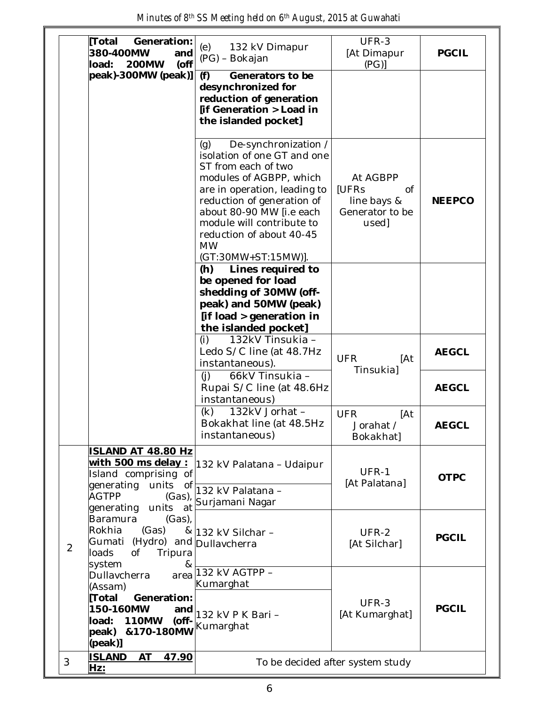| Minutes of 8th SS Meeting held on 6th August, 2015 at Guwahati |  |  |  |
|----------------------------------------------------------------|--|--|--|
|----------------------------------------------------------------|--|--|--|

|                | Generation:<br> Total<br>380-400MW<br>and<br>$($ off<br><b>200MW</b><br>load:                                                                                   | (e)<br>132 kV Dimapur<br>(PG) - Bokajan                                                                                                                                                                                                                                                             | UFR-3<br>[At Dimapur<br>(PG)                                              | <b>PGCIL</b>  |
|----------------|-----------------------------------------------------------------------------------------------------------------------------------------------------------------|-----------------------------------------------------------------------------------------------------------------------------------------------------------------------------------------------------------------------------------------------------------------------------------------------------|---------------------------------------------------------------------------|---------------|
|                | $ peak$ -300MW (peak)]                                                                                                                                          | Generators to be<br>(f)<br>desynchronized for<br>reduction of generation<br>[if Generation > Load in<br>the islanded pocket]                                                                                                                                                                        |                                                                           |               |
|                |                                                                                                                                                                 | De-synchronization /<br>(q)<br>isolation of one GT and one<br>ST from each of two<br>modules of AGBPP, which<br>are in operation, leading to<br>reduction of generation of<br>about 80-90 MW [i.e each<br>module will contribute to<br>reduction of about 40-45<br><b>MW</b><br>(GT:30MW+ST:15MW)]. | At AGBPP<br><b>IUFRs</b><br>Οf<br>line bays &<br>Generator to be<br>used] | <b>NEEPCO</b> |
|                |                                                                                                                                                                 | Lines required to<br>(h)<br>be opened for load<br>shedding of 30MW (off-<br>peak) and 50MW (peak)<br>[if load > generation in<br>the islanded pocket]                                                                                                                                               |                                                                           |               |
|                |                                                                                                                                                                 | (i)<br>132kV Tinsukia -<br>Ledo S/C line (at 48.7Hz<br>instantaneous).                                                                                                                                                                                                                              | <b>UFR</b><br>[At<br>Tinsukia]                                            | <b>AEGCL</b>  |
|                |                                                                                                                                                                 | (i)<br>66kV Tinsukia -<br>Rupai S/C line (at 48.6Hz<br>instantaneous)                                                                                                                                                                                                                               |                                                                           | <b>AEGCL</b>  |
|                |                                                                                                                                                                 | 132kV Jorhat -<br>(k)<br>Bokakhat line (at 48.5Hz<br>instantaneous)                                                                                                                                                                                                                                 | <b>UFR</b><br>[At<br>Jorahat /<br>Bokakhat]                               | <b>AEGCL</b>  |
|                | <b>ISLAND AT 48.80 Hz</b><br>with 500 ms delay :<br>Island comprising of<br>generating<br>units<br>of<br><b>AGTPP</b><br>$(Gas)$ ,<br>units<br>generating<br>at | 132 kV Palatana - Udaipur<br>132 kV Palatana -<br>Surjamani Nagar                                                                                                                                                                                                                                   | UFR-1<br>[At Palatana]                                                    | <b>OTPC</b>   |
| $\overline{2}$ | Baramura<br>(Gas),<br>Rokhia<br>(Gas)<br>Gumati (Hydro) and Dullavcherra<br>loads<br>Оf<br>Tripura<br>&                                                         | & 132 kV Silchar -                                                                                                                                                                                                                                                                                  | UFR-2<br>[At Silchar]                                                     | <b>PGCIL</b>  |
|                | system<br>Dullavcherra<br>area<br>(Assam)<br>[Total<br>Generation:<br>150-160MW<br>and<br>load:<br><b>110MW</b><br>(off-<br>peak) & 170-180MW<br>[peak]         | 132 kV AGTPP -<br>Kumarghat<br>132 kV P K Bari -<br>Kumarghat                                                                                                                                                                                                                                       | UFR-3<br>[At Kumarghat]                                                   | <b>PGCIL</b>  |
| 3              | <b>ISLAND</b><br>AT<br>47.90<br>Hz:                                                                                                                             |                                                                                                                                                                                                                                                                                                     | To be decided after system study                                          |               |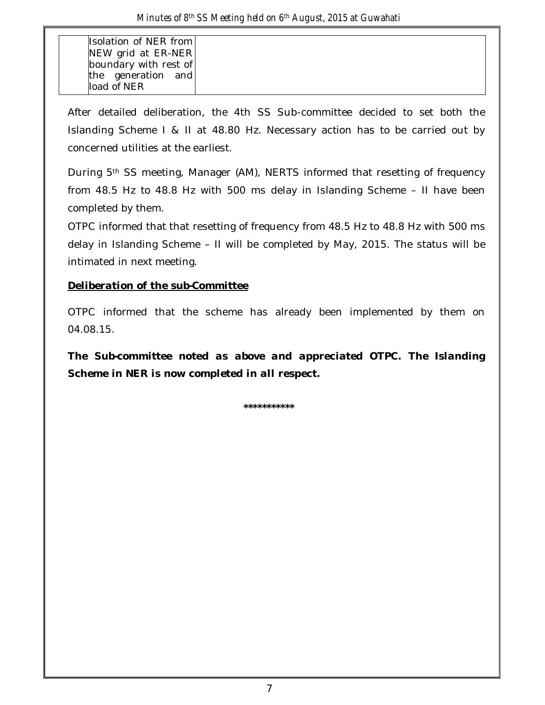| Isolation of NER from |
|-----------------------|
| NEW grid at ER-NER    |
| boundary with rest of |
| the generation and    |
| load of NFR           |

After detailed deliberation, the 4th SS Sub-committee decided to set both the Islanding Scheme I & II at 48.80 Hz. Necessary action has to be carried out by concerned utilities at the earliest.

During 5th SS meeting, Manager (AM), NERTS informed that resetting of frequency from 48.5 Hz to 48.8 Hz with 500 ms delay in Islanding Scheme – II have been completed by them.

OTPC informed that that resetting of frequency from 48.5 Hz to 48.8 Hz with 500 ms delay in Islanding Scheme – II will be completed by May, 2015. The status will be intimated in next meeting.

### *Deliberation of the sub-Committee*

OTPC informed that the scheme has already been implemented by them on 04.08.15.

*The Sub-committee noted as above and appreciated OTPC. The Islanding Scheme in NER is now completed in all respect.* 

**\*\*\*\*\*\*\*\*\*\*\***